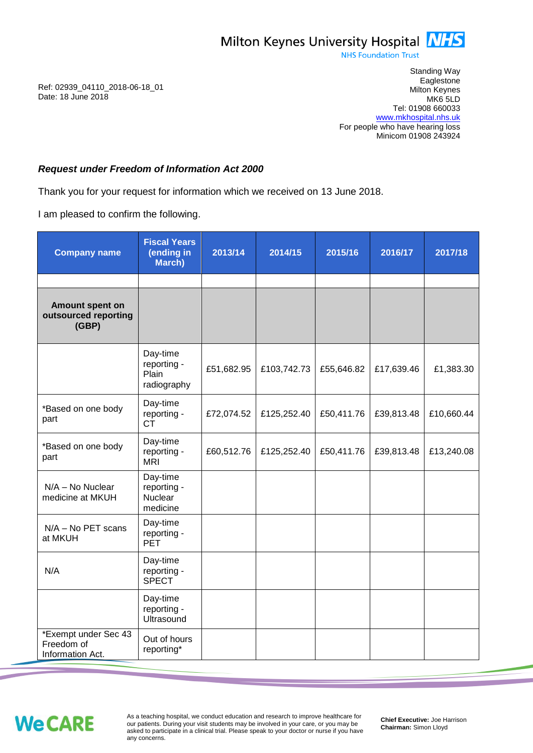

**NHS Foundation Trust** 

Standing Way **Eaglestone** Milton Keynes MK6 5LD Tel: 01908 660033 [www.mkhospital.nhs.uk](http://www.mkhospital.nhs.uk/) For people who have hearing loss Minicom 01908 243924

## *Request under Freedom of Information Act 2000*

Thank you for your request for information which we received on 13 June 2018.

I am pleased to confirm the following.

| <b>Company name</b>                                    | <b>Fiscal Years</b><br>(ending in<br>March)           | 2013/14    | 2014/15     | 2015/16    | 2016/17    | 2017/18    |
|--------------------------------------------------------|-------------------------------------------------------|------------|-------------|------------|------------|------------|
| Amount spent on                                        |                                                       |            |             |            |            |            |
| outsourced reporting<br>(GBP)                          |                                                       |            |             |            |            |            |
|                                                        | Day-time<br>reporting -<br>Plain<br>radiography       | £51,682.95 | £103,742.73 | £55,646.82 | £17,639.46 | £1,383.30  |
| *Based on one body<br>part                             | Day-time<br>reporting -<br><b>CT</b>                  | £72,074.52 | £125,252.40 | £50,411.76 | £39,813.48 | £10,660.44 |
| *Based on one body<br>part                             | Day-time<br>reporting -<br><b>MRI</b>                 | £60,512.76 | £125,252.40 | £50,411.76 | £39,813.48 | £13,240.08 |
| N/A - No Nuclear<br>medicine at MKUH                   | Day-time<br>reporting -<br><b>Nuclear</b><br>medicine |            |             |            |            |            |
| $N/A - No$ PET scans<br>at MKUH                        | Day-time<br>reporting -<br><b>PET</b>                 |            |             |            |            |            |
| N/A                                                    | Day-time<br>reporting -<br><b>SPECT</b>               |            |             |            |            |            |
|                                                        | Day-time<br>reporting -<br>Ultrasound                 |            |             |            |            |            |
| *Exempt under Sec 43<br>Freedom of<br>Information Act. | Out of hours<br>reporting*                            |            |             |            |            |            |

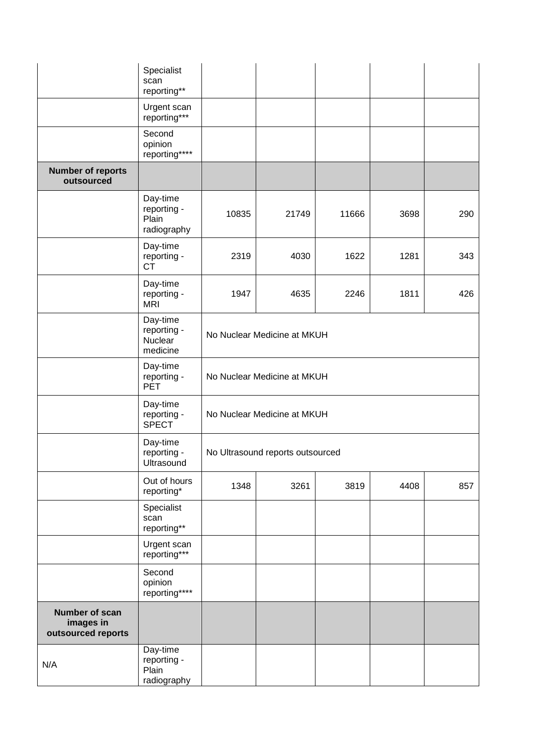|                                                   | Specialist<br>scan<br>reporting**               |                                  |       |       |      |     |  |
|---------------------------------------------------|-------------------------------------------------|----------------------------------|-------|-------|------|-----|--|
|                                                   | Urgent scan<br>reporting***                     |                                  |       |       |      |     |  |
|                                                   | Second<br>opinion<br>reporting****              |                                  |       |       |      |     |  |
| <b>Number of reports</b><br>outsourced            |                                                 |                                  |       |       |      |     |  |
|                                                   | Day-time<br>reporting -<br>Plain<br>radiography | 10835                            | 21749 | 11666 | 3698 | 290 |  |
|                                                   | Day-time<br>reporting -<br><b>CT</b>            | 2319                             | 4030  | 1622  | 1281 | 343 |  |
|                                                   | Day-time<br>reporting -<br><b>MRI</b>           | 1947                             | 4635  | 2246  | 1811 | 426 |  |
|                                                   | Day-time<br>reporting -<br>Nuclear<br>medicine  | No Nuclear Medicine at MKUH      |       |       |      |     |  |
|                                                   | Day-time<br>reporting -<br><b>PET</b>           | No Nuclear Medicine at MKUH      |       |       |      |     |  |
|                                                   | Day-time<br>reporting -<br><b>SPECT</b>         | No Nuclear Medicine at MKUH      |       |       |      |     |  |
|                                                   | Day-time<br>reporting -<br>Ultrasound           | No Ultrasound reports outsourced |       |       |      |     |  |
|                                                   | Out of hours<br>reporting*                      | 1348                             | 3261  | 3819  | 4408 | 857 |  |
|                                                   | Specialist<br>scan<br>reporting**               |                                  |       |       |      |     |  |
|                                                   | Urgent scan<br>reporting***                     |                                  |       |       |      |     |  |
|                                                   | Second<br>opinion<br>reporting****              |                                  |       |       |      |     |  |
| Number of scan<br>images in<br>outsourced reports |                                                 |                                  |       |       |      |     |  |
| N/A                                               | Day-time<br>reporting -<br>Plain<br>radiography |                                  |       |       |      |     |  |